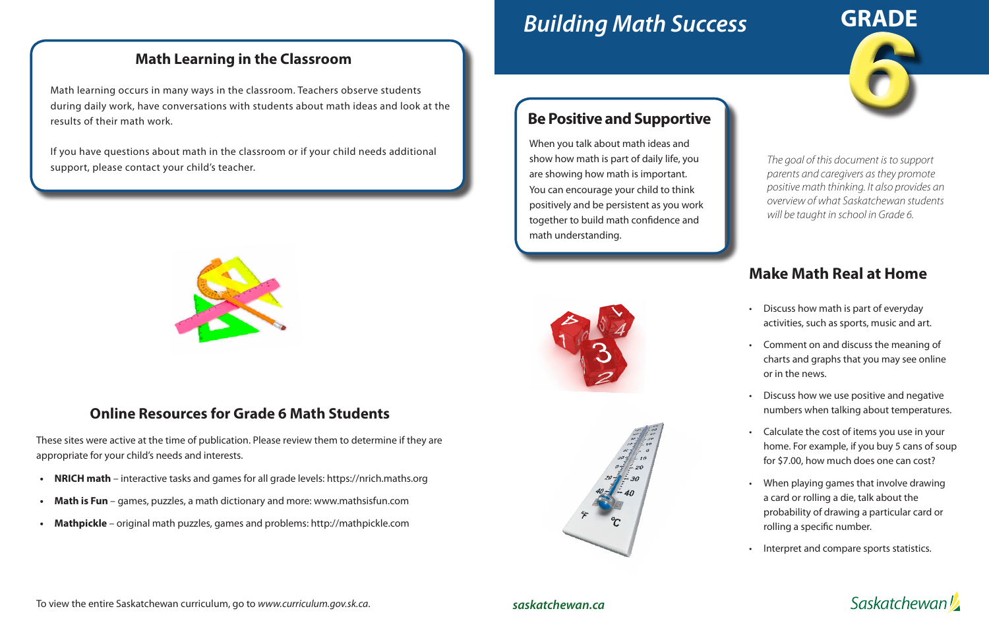# *Building Math Success*

### **Be Positive and Supportive**

When you talk about math ideas and show how math is part of daily life, you are showing how math is important. You can encourage your child to think positively and be persistent as you work together to build math confidence and math understanding.





## **Make Math Real at Home**

If you have questions about math in the classroom or if your child needs additional support, please contact your child's teacher.



- Discuss how math is part of everyday activities, such as sports, music and art.
- Comment on and discuss the meaning of charts and graphs that you may see online or in the news.
- Discuss how we use positive and negative numbers when talking about temperatures.
- Calculate the cost of items you use in your home. For example, if you buy 5 cans of soup for \$7.00, how much does one can cost?
- When playing games that involve drawing a card or rolling a die, talk about the probability of drawing a particular card or rolling a specific number.
- Interpret and compare sports statistics.



6 **GRADE**

#### *saskatchewan.ca*



#### **Math Learning in the Classroom**

Math learning occurs in many ways in the classroom. Teachers observe students during daily work, have conversations with students about math ideas and look at the results of their math work.

> *parents and caregivers as they promote positive math thinking. It also provides an overview of what Saskatchewan students will be taught in school in Grade 6.*

#### **Online Resources for Grade 6 Math Students**

These sites were active at the time of publication. Please review them to determine if they are appropriate for your child's needs and interests.

- **• NRICH math**  interactive tasks and games for all grade levels: https://nrich.maths.org
- **Math is Fun** games, puzzles, a math dictionary and more: www.mathsisfun.com
- **• Mathpickle**  original math puzzles, games and problems: http://mathpickle.com

To view the entire Saskatchewan curriculum, go to *www.curriculum.gov.sk.ca*.